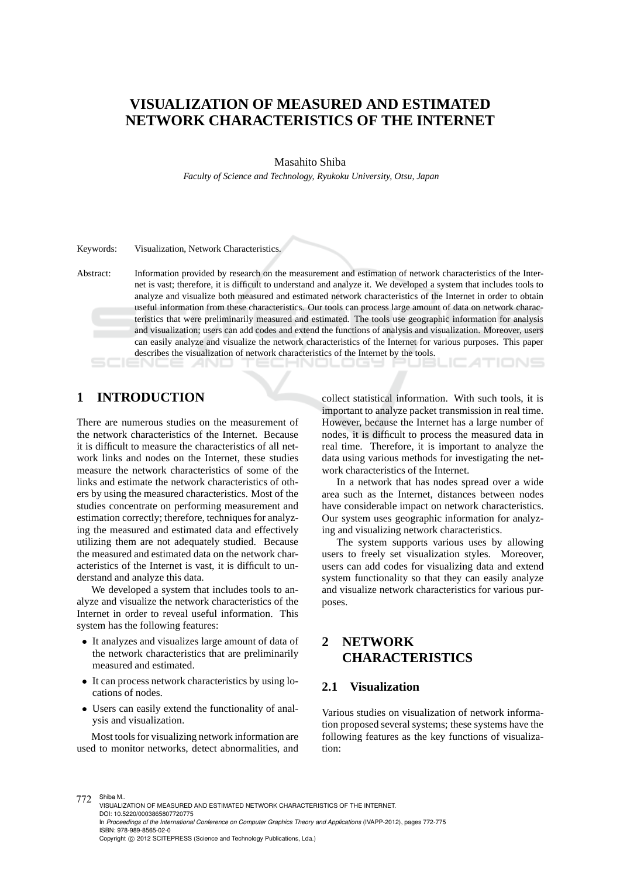# **VISUALIZATION OF MEASURED AND ESTIMATED NETWORK CHARACTERISTICS OF THE INTERNET**

### Masahito Shiba

*Faculty of Science and Technology, Ryukoku University, Otsu, Japan*

Keywords: Visualization, Network Characteristics.

Abstract: Information provided by research on the measurement and estimation of network characteristics of the Internet is vast; therefore, it is difficult to understand and analyze it. We developed a system that includes tools to analyze and visualize both measured and estimated network characteristics of the Internet in order to obtain useful information from these characteristics. Our tools can process large amount of data on network characteristics that were preliminarily measured and estimated. The tools use geographic information for analysis and visualization; users can add codes and extend the functions of analysis and visualization. Moreover, users can easily analyze and visualize the network characteristics of the Internet for various purposes. This paper describes the visualization of network characteristics of the Internet by the tools.

1 N L L L L S S

# **1 INTRODUCTION**

There are numerous studies on the measurement of the network characteristics of the Internet. Because it is difficult to measure the characteristics of all network links and nodes on the Internet, these studies measure the network characteristics of some of the links and estimate the network characteristics of others by using the measured characteristics. Most of the studies concentrate on performing measurement and estimation correctly; therefore, techniques for analyzing the measured and estimated data and effectively utilizing them are not adequately studied. Because the measured and estimated data on the network characteristics of the Internet is vast, it is difficult to understand and analyze this data.

We developed a system that includes tools to analyze and visualize the network characteristics of the Internet in order to reveal useful information. This system has the following features:

- It analyzes and visualizes large amount of data of the network characteristics that are preliminarily measured and estimated.
- It can process network characteristics by using locations of nodes.
- Users can easily extend the functionality of analysis and visualization.

Most tools for visualizing network information are used to monitor networks, detect abnormalities, and collect statistical information. With such tools, it is important to analyze packet transmission in real time. However, because the Internet has a large number of nodes, it is difficult to process the measured data in real time. Therefore, it is important to analyze the data using various methods for investigating the network characteristics of the Internet.

JC ATIONS

In a network that has nodes spread over a wide area such as the Internet, distances between nodes have considerable impact on network characteristics. Our system uses geographic information for analyzing and visualizing network characteristics.

The system supports various uses by allowing users to freely set visualization styles. Moreover, users can add codes for visualizing data and extend system functionality so that they can easily analyze and visualize network characteristics for various purposes.

## **2 NETWORK CHARACTERISTICS**

### **2.1 Visualization**

Various studies on visualization of network information proposed several systems; these systems have the following features as the key functions of visualization:

772 Shiba M.. VISUALIZATION OF MEASURED AND ESTIMATED NETWORK CHARACTERISTICS OF THE INTERNET. DOI: 10.5220/0003865807720775 In *Proceedings of the International Conference on Computer Graphics Theory and Applications* (IVAPP-2012), pages 772-775 ISBN: 978-989-8565-02-0 Copyright (C) 2012 SCITEPRESS (Science and Technology Publications, Lda.)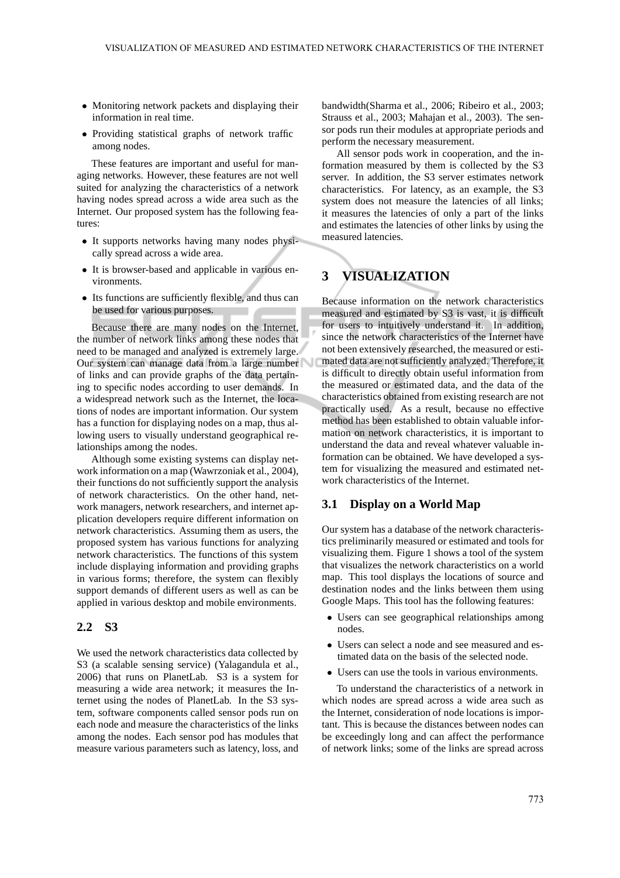- Monitoring network packets and displaying their information in real time.
- Providing statistical graphs of network traffic among nodes.

These features are important and useful for managing networks. However, these features are not well suited for analyzing the characteristics of a network having nodes spread across a wide area such as the Internet. Our proposed system has the following features:

- It supports networks having many nodes physically spread across a wide area.
- It is browser-based and applicable in various environments.
- Its functions are sufficiently flexible, and thus can be used for various purposes.

Because there are many nodes on the Internet, the number of network links among these nodes that need to be managed and analyzed is extremely large. Our system can manage data from a large number of links and can provide graphs of the data pertaining to specific nodes according to user demands. In a widespread network such as the Internet, the locations of nodes are important information. Our system has a function for displaying nodes on a map, thus allowing users to visually understand geographical relationships among the nodes.

Although some existing systems can display network information on a map (Wawrzoniak et al., 2004), their functions do not sufficiently support the analysis of network characteristics. On the other hand, network managers, network researchers, and internet application developers require different information on network characteristics. Assuming them as users, the proposed system has various functions for analyzing network characteristics. The functions of this system include displaying information and providing graphs in various forms; therefore, the system can flexibly support demands of different users as well as can be applied in various desktop and mobile environments.

#### **2.2 S3**

We used the network characteristics data collected by S3 (a scalable sensing service) (Yalagandula et al., 2006) that runs on PlanetLab. S3 is a system for measuring a wide area network; it measures the Internet using the nodes of PlanetLab. In the S3 system, software components called sensor pods run on each node and measure the characteristics of the links among the nodes. Each sensor pod has modules that measure various parameters such as latency, loss, and bandwidth(Sharma et al., 2006; Ribeiro et al., 2003; Strauss et al., 2003; Mahajan et al., 2003). The sensor pods run their modules at appropriate periods and perform the necessary measurement.

All sensor pods work in cooperation, and the information measured by them is collected by the S3 server. In addition, the S3 server estimates network characteristics. For latency, as an example, the S3 system does not measure the latencies of all links; it measures the latencies of only a part of the links and estimates the latencies of other links by using the measured latencies.

# **3 VISUALIZATION**

Because information on the network characteristics measured and estimated by S3 is vast, it is difficult for users to intuitively understand it. In addition, since the network characteristics of the Internet have not been extensively researched, the measured or estimated data are not sufficiently analyzed. Therefore, it is difficult to directly obtain useful information from the measured or estimated data, and the data of the characteristics obtained from existing research are not practically used. As a result, because no effective method has been established to obtain valuable information on network characteristics, it is important to understand the data and reveal whatever valuable information can be obtained. We have developed a system for visualizing the measured and estimated network characteristics of the Internet.

### **3.1 Display on a World Map**

Our system has a database of the network characteristics preliminarily measured or estimated and tools for visualizing them. Figure 1 shows a tool of the system that visualizes the network characteristics on a world map. This tool displays the locations of source and destination nodes and the links between them using Google Maps. This tool has the following features:

- Users can see geographical relationships among nodes.
- Users can select a node and see measured and estimated data on the basis of the selected node.
- Users can use the tools in various environments.

To understand the characteristics of a network in which nodes are spread across a wide area such as the Internet, consideration of node locations is important. This is because the distances between nodes can be exceedingly long and can affect the performance of network links; some of the links are spread across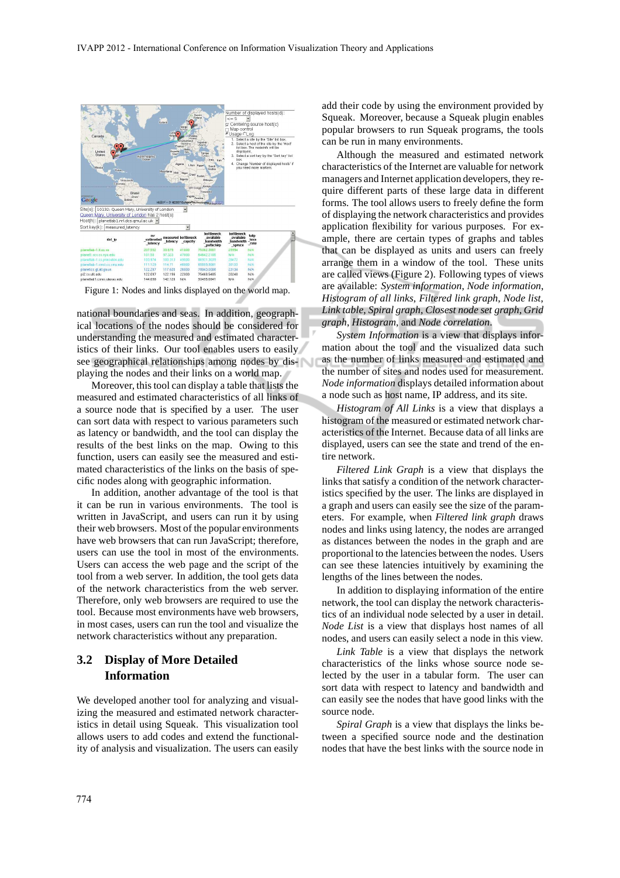

Figure 1: Nodes and links displayed on the world map.

national boundaries and seas. In addition, geographical locations of the nodes should be considered for understanding the measured and estimated characteristics of their links. Our tool enables users to easily see geographical relationships among nodes by displaying the nodes and their links on a world map.

Moreover, this tool can display a table that lists the measured and estimated characteristics of all links of a source node that is specified by a user. The user can sort data with respect to various parameters such as latency or bandwidth, and the tool can display the results of the best links on the map. Owing to this function, users can easily see the measured and estimated characteristics of the links on the basis of specific nodes along with geographic information.

In addition, another advantage of the tool is that it can be run in various environments. The tool is written in JavaScript, and users can run it by using their web browsers. Most of the popular environments have web browsers that can run JavaScript; therefore, users can use the tool in most of the environments. Users can access the web page and the script of the tool from a web server. In addition, the tool gets data of the network characteristics from the web server. Therefore, only web browsers are required to use the tool. Because most environments have web browsers, in most cases, users can run the tool and visualize the network characteristics without any preparation.

## **3.2 Display of More Detailed Information**

We developed another tool for analyzing and visualizing the measured and estimated network characteristics in detail using Squeak. This visualization tool allows users to add codes and extend the functionality of analysis and visualization. The users can easily

add their code by using the environment provided by Squeak. Moreover, because a Squeak plugin enables popular browsers to run Squeak programs, the tools can be run in many environments.

Although the measured and estimated network characteristics of the Internet are valuable for network managers and Internet application developers, they require different parts of these large data in different forms. The tool allows users to freely define the form of displaying the network characteristics and provides application flexibility for various purposes. For example, there are certain types of graphs and tables that can be displayed as units and users can freely arrange them in a window of the tool. These units are called views (Figure 2). Following types of views are available: *System information*, *Node information*, *Histogram of all links*, *Filtered link graph*, *Node list*, *Link table*, *Spiral graph*, *Closest node set graph*, *Grid graph*, *Histogram*, and *Node correlation*.

*System Information* is a view that displays information about the tool and the visualized data such as the number of links measured and estimated and the number of sites and nodes used for measurement. *Node information* displays detailed information about a node such as host name, IP address, and its site.

*Histogram of All Links* is a view that displays a histogram of the measured or estimated network characteristics of the Internet. Because data of all links are displayed, users can see the state and trend of the entire network.

*Filtered Link Graph* is a view that displays the links that satisfy a condition of the network characteristics specified by the user. The links are displayed in a graph and users can easily see the size of the parameters. For example, when *Filtered link graph* draws nodes and links using latency, the nodes are arranged as distances between the nodes in the graph and are proportional to the latencies between the nodes. Users can see these latencies intuitively by examining the lengths of the lines between the nodes.

In addition to displaying information of the entire network, the tool can display the network characteristics of an individual node selected by a user in detail. *Node List* is a view that displays host names of all nodes, and users can easily select a node in this view.

*Link Table* is a view that displays the network characteristics of the links whose source node selected by the user in a tabular form. The user can sort data with respect to latency and bandwidth and can easily see the nodes that have good links with the source node.

*Spiral Graph* is a view that displays the links between a specified source node and the destination nodes that have the best links with the source node in